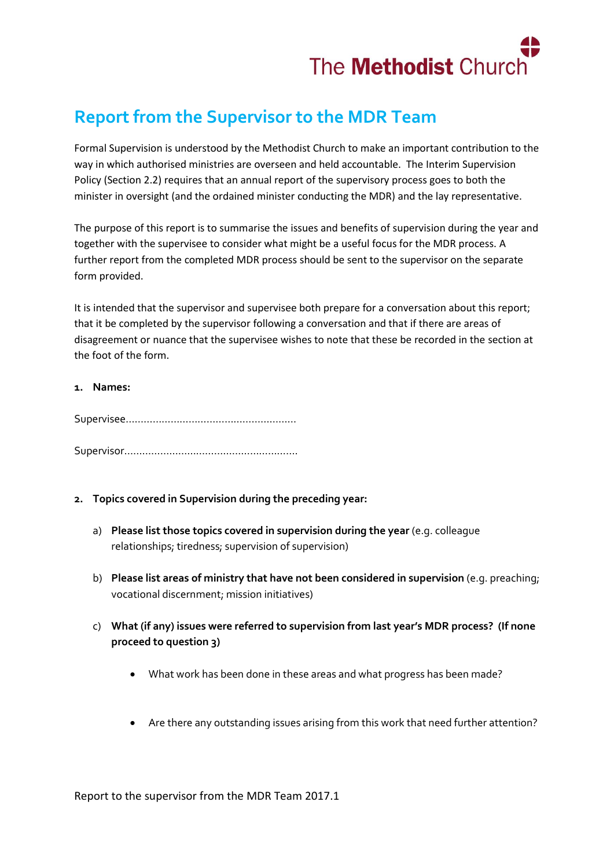

## **Report from the Supervisor to the MDR Team**

Formal Supervision is understood by the Methodist Church to make an important contribution to the way in which authorised ministries are overseen and held accountable. The Interim Supervision Policy (Section 2.2) requires that an annual report of the supervisory process goes to both the minister in oversight (and the ordained minister conducting the MDR) and the lay representative.

The purpose of this report is to summarise the issues and benefits of supervision during the year and together with the supervisee to consider what might be a useful focus for the MDR process. A further report from the completed MDR process should be sent to the supervisor on the separate form provided.

It is intended that the supervisor and supervisee both prepare for a conversation about this report; that it be completed by the supervisor following a conversation and that if there are areas of disagreement or nuance that the supervisee wishes to note that these be recorded in the section at the foot of the form.

### **1. Names:**

Supervisee………………………………………………… Supervisor………………………………………………….

- **2. Topics covered in Supervision during the preceding year:**
	- a) **Please list those topics covered in supervision during the year** (e.g. colleague relationships; tiredness; supervision of supervision)
	- b) **Please list areas of ministry that have not been considered in supervision** (e.g. preaching; vocational discernment; mission initiatives)
	- c) **What (if any) issues were referred to supervision from last year's MDR process? (If none proceed to question 3)**
		- What work has been done in these areas and what progress has been made?
		- Are there any outstanding issues arising from this work that need further attention?

Report to the supervisor from the MDR Team 2017.1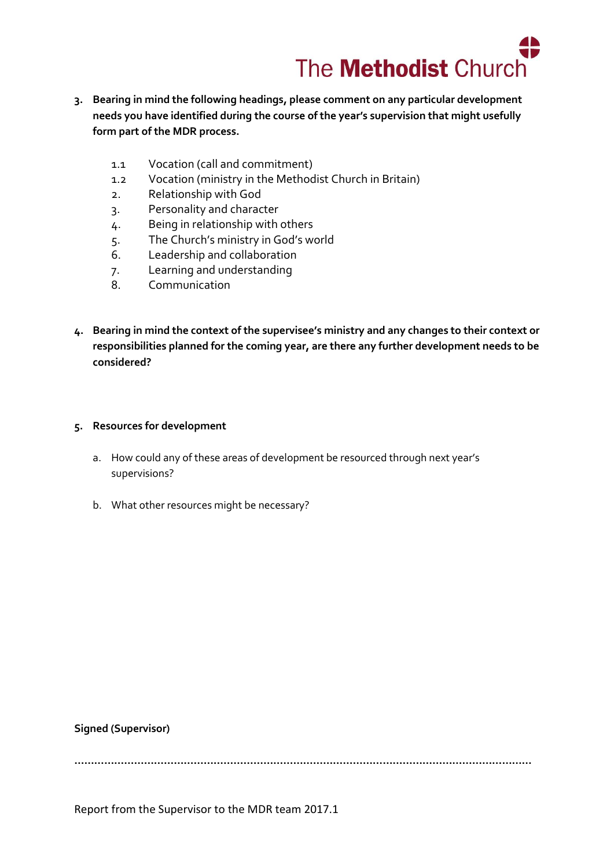

- **3. Bearing in mind the following headings, please comment on any particular development needs you have identified during the course of the year's supervision that might usefully form part of the MDR process.** 
	- 1.1 Vocation (call and commitment)
	- 1.2 Vocation (ministry in the Methodist Church in Britain)
	- 2. Relationship with God
	- 3. Personality and character
	- 4. Being in relationship with others
	- 5. The Church's ministry in God's world
	- 6. Leadership and collaboration
	- 7. Learning and understanding
	- 8. Communication
- **4. Bearing in mind the context of the supervisee's ministry and any changes to their context or responsibilities planned for the coming year, are there any further development needs to be considered?**

#### **5. Resources for development**

- a. How could any of these areas of development be resourced through next year's supervisions?
- b. What other resources might be necessary?

#### **Signed (Supervisor)**

**…………………………………………………………………………………………………………………………**